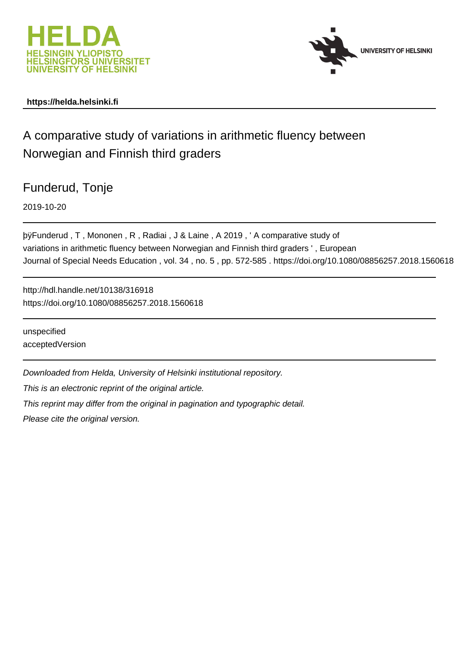



# **https://helda.helsinki.fi**

# A comparative study of variations in arithmetic fluency between Norwegian and Finnish third graders

Funderud, Tonje

2019-10-20

þÿFunderud , T , Mononen , R , Radiai , J & Laine , A 2019 , 'A compar variations in arithmetic fluency between Norwegian and Finnish third graders ' , European Journal of Special Needs Education , vol. 34 , no. 5 , pp. 572-585 . https://doi.org/10.1080/08856257.2018.1560618

http://hdl.handle.net/10138/316918 https://doi.org/10.1080/08856257.2018.1560618

unspecified acceptedVersion

Downloaded from Helda, University of Helsinki institutional repository.

This is an electronic reprint of the original article.

This reprint may differ from the original in pagination and typographic detail.

Please cite the original version.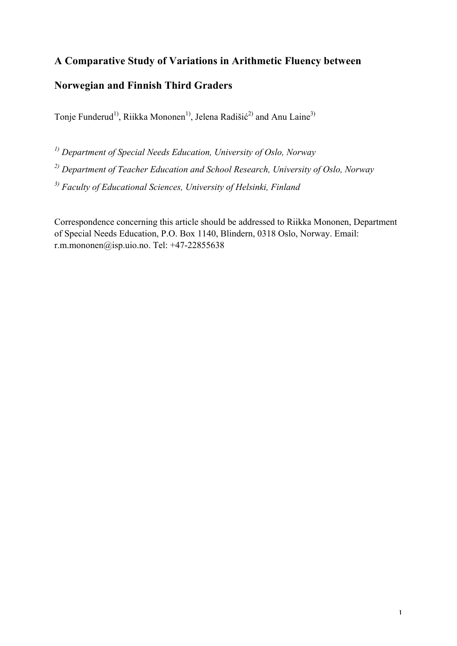# **A Comparative Study of Variations in Arithmetic Fluency between**

# **Norwegian and Finnish Third Graders**

Tonje Funderud<sup>1)</sup>, Riikka Mononen<sup>1)</sup>, Jelena Radišić<sup>2)</sup> and Anu Laine<sup>3)</sup>

*1) Department of Special Needs Education, University of Oslo, Norway* 

*2) Department of Teacher Education and School Research, University of Oslo, Norway*

*3) Faculty of Educational Sciences, University of Helsinki, Finland*

Correspondence concerning this article should be addressed to Riikka Mononen, Department of Special Needs Education, P.O. Box 1140, Blindern, 0318 Oslo, Norway. Email: r.m.mononen@isp.uio.no. Tel:  $+47-22855638$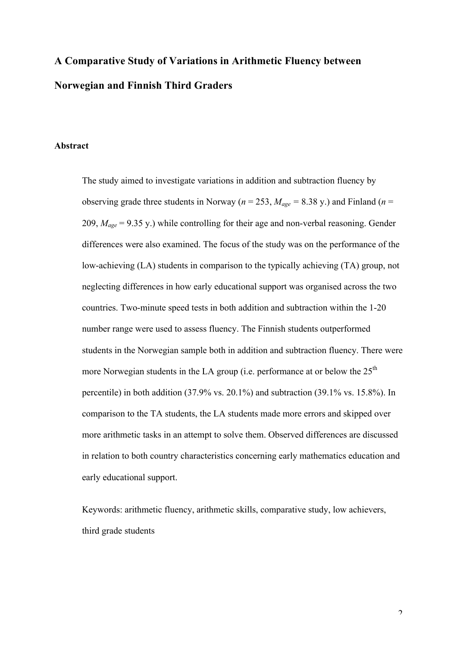# **A Comparative Study of Variations in Arithmetic Fluency between Norwegian and Finnish Third Graders**

#### **Abstract**

The study aimed to investigate variations in addition and subtraction fluency by observing grade three students in Norway ( $n = 253$ ,  $M_{age} = 8.38$  y.) and Finland ( $n =$ 209, *Mage* = 9.35 y.) while controlling for their age and non-verbal reasoning. Gender differences were also examined. The focus of the study was on the performance of the low-achieving (LA) students in comparison to the typically achieving (TA) group, not neglecting differences in how early educational support was organised across the two countries. Two-minute speed tests in both addition and subtraction within the 1-20 number range were used to assess fluency. The Finnish students outperformed students in the Norwegian sample both in addition and subtraction fluency. There were more Norwegian students in the LA group (i.e. performance at or below the  $25<sup>th</sup>$ percentile) in both addition (37.9% vs. 20.1%) and subtraction (39.1% vs. 15.8%). In comparison to the TA students, the LA students made more errors and skipped over more arithmetic tasks in an attempt to solve them. Observed differences are discussed in relation to both country characteristics concerning early mathematics education and early educational support.

Keywords: arithmetic fluency, arithmetic skills, comparative study, low achievers, third grade students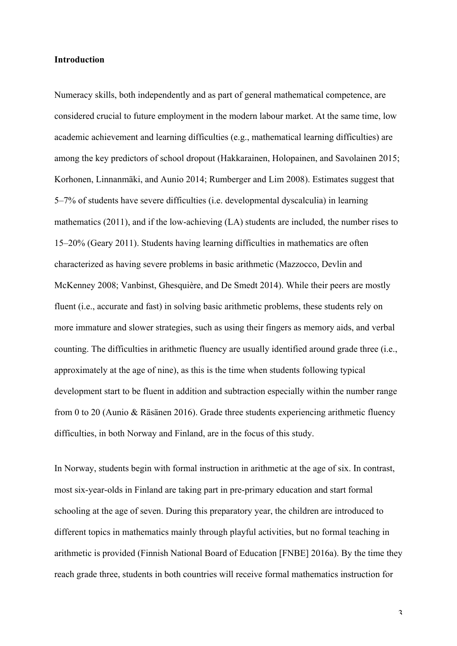# **Introduction**

Numeracy skills, both independently and as part of general mathematical competence, are considered crucial to future employment in the modern labour market. At the same time, low academic achievement and learning difficulties (e.g., mathematical learning difficulties) are among the key predictors of school dropout (Hakkarainen, Holopainen, and Savolainen 2015; Korhonen, Linnanmäki, and Aunio 2014; Rumberger and Lim 2008). Estimates suggest that 5–7% of students have severe difficulties (i.e. developmental dyscalculia) in learning mathematics (2011), and if the low-achieving (LA) students are included, the number rises to 15–20% (Geary 2011). Students having learning difficulties in mathematics are often characterized as having severe problems in basic arithmetic (Mazzocco, Devlin and McKenney 2008; Vanbinst, Ghesquière, and De Smedt 2014). While their peers are mostly fluent (i.e., accurate and fast) in solving basic arithmetic problems, these students rely on more immature and slower strategies, such as using their fingers as memory aids, and verbal counting. The difficulties in arithmetic fluency are usually identified around grade three (i.e., approximately at the age of nine), as this is the time when students following typical development start to be fluent in addition and subtraction especially within the number range from 0 to 20 (Aunio & Räsänen 2016). Grade three students experiencing arithmetic fluency difficulties, in both Norway and Finland, are in the focus of this study.

In Norway, students begin with formal instruction in arithmetic at the age of six. In contrast, most six-year-olds in Finland are taking part in pre-primary education and start formal schooling at the age of seven. During this preparatory year, the children are introduced to different topics in mathematics mainly through playful activities, but no formal teaching in arithmetic is provided (Finnish National Board of Education [FNBE] 2016a). By the time they reach grade three, students in both countries will receive formal mathematics instruction for

3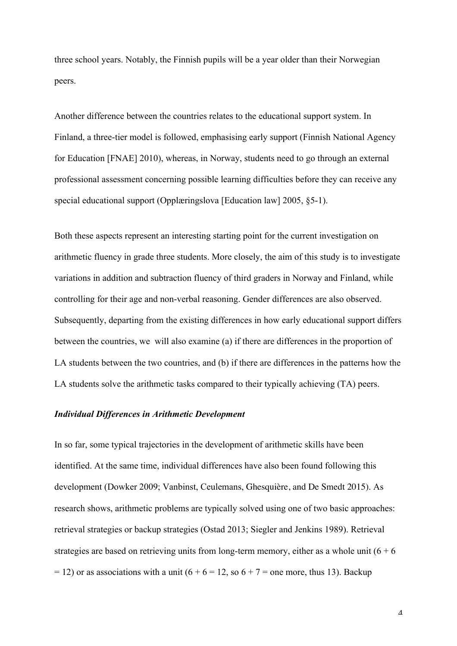three school years. Notably, the Finnish pupils will be a year older than their Norwegian peers.

Another difference between the countries relates to the educational support system. In Finland, a three-tier model is followed, emphasising early support (Finnish National Agency for Education [FNAE] 2010), whereas, in Norway, students need to go through an external professional assessment concerning possible learning difficulties before they can receive any special educational support (Opplæringslova [Education law] 2005, §5-1).

Both these aspects represent an interesting starting point for the current investigation on arithmetic fluency in grade three students. More closely, the aim of this study is to investigate variations in addition and subtraction fluency of third graders in Norway and Finland, while controlling for their age and non-verbal reasoning. Gender differences are also observed. Subsequently, departing from the existing differences in how early educational support differs between the countries, we will also examine (a) if there are differences in the proportion of LA students between the two countries, and (b) if there are differences in the patterns how the LA students solve the arithmetic tasks compared to their typically achieving (TA) peers.

#### *Individual Differences in Arithmetic Development*

In so far, some typical trajectories in the development of arithmetic skills have been identified. At the same time, individual differences have also been found following this development (Dowker 2009; Vanbinst, Ceulemans, Ghesquière, and De Smedt 2015). As research shows, arithmetic problems are typically solved using one of two basic approaches: retrieval strategies or backup strategies (Ostad 2013; Siegler and Jenkins 1989). Retrieval strategies are based on retrieving units from long-term memory, either as a whole unit  $(6 + 6)$  $= 12$ ) or as associations with a unit (6 + 6 = 12, so 6 + 7 = one more, thus 13). Backup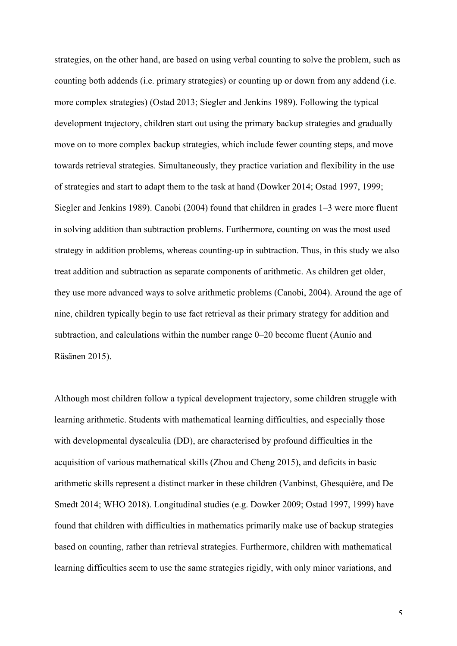strategies, on the other hand, are based on using verbal counting to solve the problem, such as counting both addends (i.e. primary strategies) or counting up or down from any addend (i.e. more complex strategies) (Ostad 2013; Siegler and Jenkins 1989). Following the typical development trajectory, children start out using the primary backup strategies and gradually move on to more complex backup strategies, which include fewer counting steps, and move towards retrieval strategies. Simultaneously, they practice variation and flexibility in the use of strategies and start to adapt them to the task at hand (Dowker 2014; Ostad 1997, 1999; Siegler and Jenkins 1989). Canobi (2004) found that children in grades 1–3 were more fluent in solving addition than subtraction problems. Furthermore, counting on was the most used strategy in addition problems, whereas counting-up in subtraction. Thus, in this study we also treat addition and subtraction as separate components of arithmetic. As children get older, they use more advanced ways to solve arithmetic problems (Canobi, 2004). Around the age of nine, children typically begin to use fact retrieval as their primary strategy for addition and subtraction, and calculations within the number range 0–20 become fluent (Aunio and Räsänen 2015).

Although most children follow a typical development trajectory, some children struggle with learning arithmetic. Students with mathematical learning difficulties, and especially those with developmental dyscalculia (DD), are characterised by profound difficulties in the acquisition of various mathematical skills (Zhou and Cheng 2015), and deficits in basic arithmetic skills represent a distinct marker in these children (Vanbinst, Ghesquière, and De Smedt 2014; WHO 2018). Longitudinal studies (e.g. Dowker 2009; Ostad 1997, 1999) have found that children with difficulties in mathematics primarily make use of backup strategies based on counting, rather than retrieval strategies. Furthermore, children with mathematical learning difficulties seem to use the same strategies rigidly, with only minor variations, and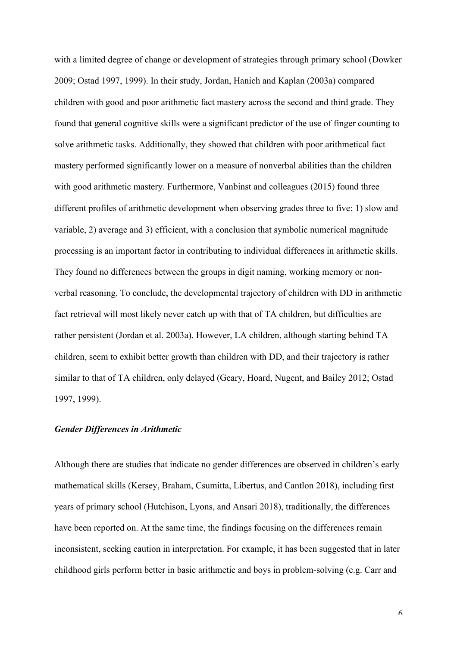with a limited degree of change or development of strategies through primary school (Dowker 2009; Ostad 1997, 1999). In their study, Jordan, Hanich and Kaplan (2003a) compared children with good and poor arithmetic fact mastery across the second and third grade. They found that general cognitive skills were a significant predictor of the use of finger counting to solve arithmetic tasks. Additionally, they showed that children with poor arithmetical fact mastery performed significantly lower on a measure of nonverbal abilities than the children with good arithmetic mastery. Furthermore, Vanbinst and colleagues (2015) found three different profiles of arithmetic development when observing grades three to five: 1) slow and variable, 2) average and 3) efficient, with a conclusion that symbolic numerical magnitude processing is an important factor in contributing to individual differences in arithmetic skills. They found no differences between the groups in digit naming, working memory or nonverbal reasoning. To conclude, the developmental trajectory of children with DD in arithmetic fact retrieval will most likely never catch up with that of TA children, but difficulties are rather persistent (Jordan et al. 2003a). However, LA children, although starting behind TA children, seem to exhibit better growth than children with DD, and their trajectory is rather similar to that of TA children, only delayed (Geary, Hoard, Nugent, and Bailey 2012; Ostad 1997, 1999).

## *Gender Differences in Arithmetic*

Although there are studies that indicate no gender differences are observed in children's early mathematical skills (Kersey, Braham, Csumitta, Libertus, and Cantlon 2018), including first years of primary school (Hutchison, Lyons, and Ansari 2018), traditionally, the differences have been reported on. At the same time, the findings focusing on the differences remain inconsistent, seeking caution in interpretation. For example, it has been suggested that in later childhood girls perform better in basic arithmetic and boys in problem-solving (e.g. Carr and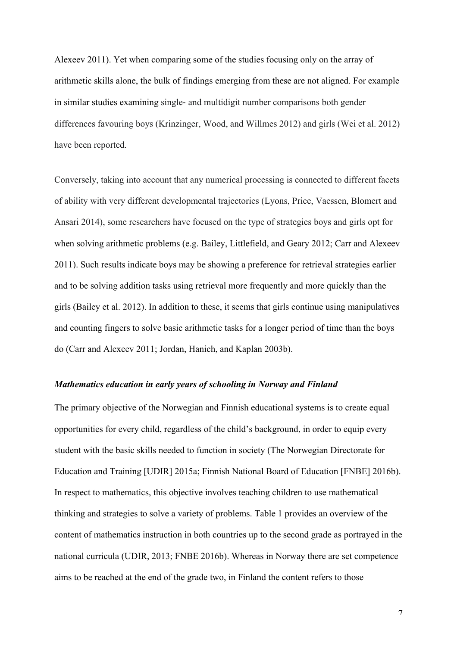Alexeev 2011). Yet when comparing some of the studies focusing only on the array of arithmetic skills alone, the bulk of findings emerging from these are not aligned. For example in similar studies examining single- and multidigit number comparisons both gender differences favouring boys (Krinzinger, Wood, and Willmes 2012) and girls (Wei et al. 2012) have been reported.

Conversely, taking into account that any numerical processing is connected to different facets of ability with very different developmental trajectories (Lyons, Price, Vaessen, Blomert and Ansari 2014), some researchers have focused on the type of strategies boys and girls opt for when solving arithmetic problems (e.g. Bailey, Littlefield, and Geary 2012; Carr and Alexeev 2011). Such results indicate boys may be showing a preference for retrieval strategies earlier and to be solving addition tasks using retrieval more frequently and more quickly than the girls (Bailey et al. 2012). In addition to these, it seems that girls continue using manipulatives and counting fingers to solve basic arithmetic tasks for a longer period of time than the boys do (Carr and Alexeev 2011; Jordan, Hanich, and Kaplan 2003b).

# *Mathematics education in early years of schooling in Norway and Finland*

The primary objective of the Norwegian and Finnish educational systems is to create equal opportunities for every child, regardless of the child's background, in order to equip every student with the basic skills needed to function in society (The Norwegian Directorate for Education and Training [UDIR] 2015a; Finnish National Board of Education [FNBE] 2016b). In respect to mathematics, this objective involves teaching children to use mathematical thinking and strategies to solve a variety of problems. Table 1 provides an overview of the content of mathematics instruction in both countries up to the second grade as portrayed in the national curricula (UDIR, 2013; FNBE 2016b). Whereas in Norway there are set competence aims to be reached at the end of the grade two, in Finland the content refers to those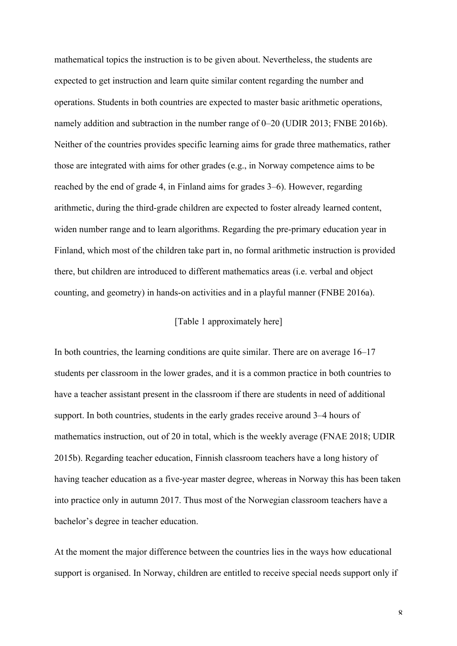mathematical topics the instruction is to be given about. Nevertheless, the students are expected to get instruction and learn quite similar content regarding the number and operations. Students in both countries are expected to master basic arithmetic operations, namely addition and subtraction in the number range of 0–20 (UDIR 2013; FNBE 2016b). Neither of the countries provides specific learning aims for grade three mathematics, rather those are integrated with aims for other grades (e.g., in Norway competence aims to be reached by the end of grade 4, in Finland aims for grades 3–6). However, regarding arithmetic, during the third-grade children are expected to foster already learned content, widen number range and to learn algorithms. Regarding the pre-primary education year in Finland, which most of the children take part in, no formal arithmetic instruction is provided there, but children are introduced to different mathematics areas (i.e. verbal and object counting, and geometry) in hands-on activities and in a playful manner (FNBE 2016a).

# [Table 1 approximately here]

In both countries, the learning conditions are quite similar. There are on average 16–17 students per classroom in the lower grades, and it is a common practice in both countries to have a teacher assistant present in the classroom if there are students in need of additional support. In both countries, students in the early grades receive around 3–4 hours of mathematics instruction, out of 20 in total, which is the weekly average (FNAE 2018; UDIR 2015b). Regarding teacher education, Finnish classroom teachers have a long history of having teacher education as a five-year master degree, whereas in Norway this has been taken into practice only in autumn 2017. Thus most of the Norwegian classroom teachers have a bachelor's degree in teacher education.

At the moment the major difference between the countries lies in the ways how educational support is organised. In Norway, children are entitled to receive special needs support only if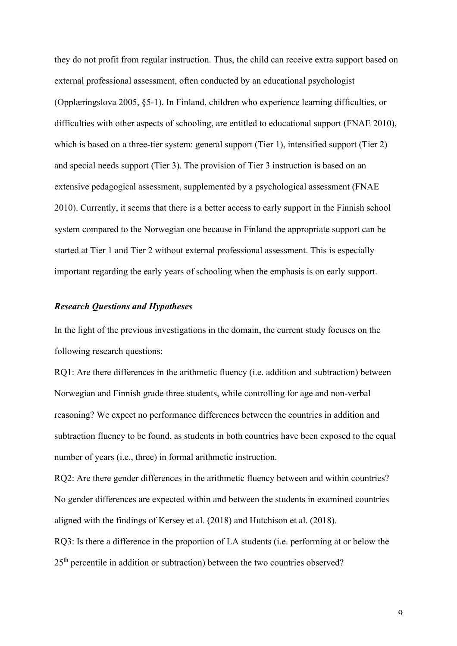they do not profit from regular instruction. Thus, the child can receive extra support based on external professional assessment, often conducted by an educational psychologist (Opplæringslova 2005, §5-1). In Finland, children who experience learning difficulties, or difficulties with other aspects of schooling, are entitled to educational support (FNAE 2010), which is based on a three-tier system: general support (Tier 1), intensified support (Tier 2) and special needs support (Tier 3). The provision of Tier 3 instruction is based on an extensive pedagogical assessment, supplemented by a psychological assessment (FNAE 2010). Currently, it seems that there is a better access to early support in the Finnish school system compared to the Norwegian one because in Finland the appropriate support can be started at Tier 1 and Tier 2 without external professional assessment. This is especially important regarding the early years of schooling when the emphasis is on early support.

# *Research Questions and Hypotheses*

In the light of the previous investigations in the domain, the current study focuses on the following research questions:

RQ1: Are there differences in the arithmetic fluency (i.e. addition and subtraction) between Norwegian and Finnish grade three students, while controlling for age and non-verbal reasoning? We expect no performance differences between the countries in addition and subtraction fluency to be found, as students in both countries have been exposed to the equal number of years (i.e., three) in formal arithmetic instruction.

RQ2: Are there gender differences in the arithmetic fluency between and within countries? No gender differences are expected within and between the students in examined countries aligned with the findings of Kersey et al. (2018) and Hutchison et al. (2018).

RQ3: Is there a difference in the proportion of LA students (i.e. performing at or below the 25<sup>th</sup> percentile in addition or subtraction) between the two countries observed?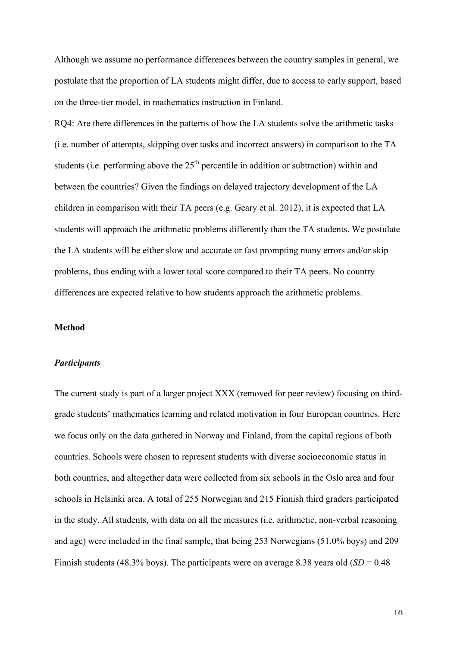Although we assume no performance differences between the country samples in general, we postulate that the proportion of LA students might differ, due to access to early support, based on the three-tier model, in mathematics instruction in Finland.

RQ4: Are there differences in the patterns of how the LA students solve the arithmetic tasks (i.e. number of attempts, skipping over tasks and incorrect answers) in comparison to the TA students (i.e. performing above the  $25<sup>th</sup>$  percentile in addition or subtraction) within and between the countries? Given the findings on delayed trajectory development of the LA children in comparison with their TA peers (e.g. Geary et al. 2012), it is expected that LA students will approach the arithmetic problems differently than the TA students. We postulate the LA students will be either slow and accurate or fast prompting many errors and/or skip problems, thus ending with a lower total score compared to their TA peers. No country differences are expected relative to how students approach the arithmetic problems.

# **Method**

#### *Participants*

The current study is part of a larger project XXX (removed for peer review) focusing on thirdgrade students' mathematics learning and related motivation in four European countries. Here we focus only on the data gathered in Norway and Finland, from the capital regions of both countries. Schools were chosen to represent students with diverse socioeconomic status in both countries, and altogether data were collected from six schools in the Oslo area and four schools in Helsinki area. A total of 255 Norwegian and 215 Finnish third graders participated in the study. All students, with data on all the measures (i.e. arithmetic, non-verbal reasoning and age) were included in the final sample, that being 253 Norwegians (51.0% boys) and 209 Finnish students (48.3% boys). The participants were on average 8.38 years old  $(SD = 0.48)$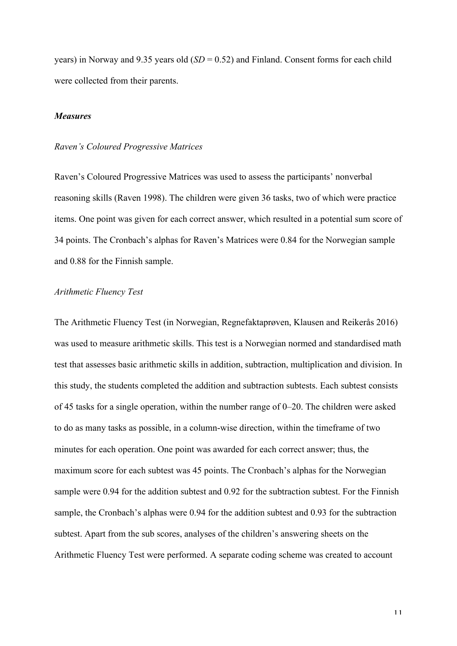years) in Norway and 9.35 years old (*SD* = 0.52) and Finland. Consent forms for each child were collected from their parents.

## *Measures*

# *Raven's Coloured Progressive Matrices*

Raven's Coloured Progressive Matrices was used to assess the participants' nonverbal reasoning skills (Raven 1998). The children were given 36 tasks, two of which were practice items. One point was given for each correct answer, which resulted in a potential sum score of 34 points. The Cronbach's alphas for Raven's Matrices were 0.84 for the Norwegian sample and 0.88 for the Finnish sample.

#### *Arithmetic Fluency Test*

The Arithmetic Fluency Test (in Norwegian, Regnefaktaprøven, Klausen and Reikerås 2016) was used to measure arithmetic skills. This test is a Norwegian normed and standardised math test that assesses basic arithmetic skills in addition, subtraction, multiplication and division. In this study, the students completed the addition and subtraction subtests. Each subtest consists of 45 tasks for a single operation, within the number range of 0–20. The children were asked to do as many tasks as possible, in a column-wise direction, within the timeframe of two minutes for each operation. One point was awarded for each correct answer; thus, the maximum score for each subtest was 45 points. The Cronbach's alphas for the Norwegian sample were 0.94 for the addition subtest and 0.92 for the subtraction subtest. For the Finnish sample, the Cronbach's alphas were 0.94 for the addition subtest and 0.93 for the subtraction subtest. Apart from the sub scores, analyses of the children's answering sheets on the Arithmetic Fluency Test were performed. A separate coding scheme was created to account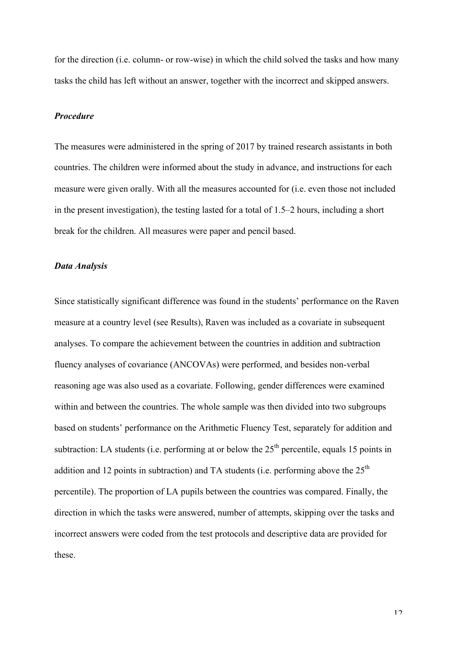for the direction (i.e. column- or row-wise) in which the child solved the tasks and how many tasks the child has left without an answer, together with the incorrect and skipped answers.

# *Procedure*

The measures were administered in the spring of 2017 by trained research assistants in both countries. The children were informed about the study in advance, and instructions for each measure were given orally. With all the measures accounted for (i.e. even those not included in the present investigation), the testing lasted for a total of 1.5–2 hours, including a short break for the children. All measures were paper and pencil based.

## *Data Analysis*

Since statistically significant difference was found in the students' performance on the Raven measure at a country level (see Results), Raven was included as a covariate in subsequent analyses. To compare the achievement between the countries in addition and subtraction fluency analyses of covariance (ANCOVAs) were performed, and besides non-verbal reasoning age was also used as a covariate. Following, gender differences were examined within and between the countries. The whole sample was then divided into two subgroups based on students' performance on the Arithmetic Fluency Test, separately for addition and subtraction: LA students (i.e. performing at or below the  $25<sup>th</sup>$  percentile, equals 15 points in addition and 12 points in subtraction) and TA students (i.e. performing above the  $25<sup>th</sup>$ percentile). The proportion of LA pupils between the countries was compared. Finally, the direction in which the tasks were answered, number of attempts, skipping over the tasks and incorrect answers were coded from the test protocols and descriptive data are provided for these.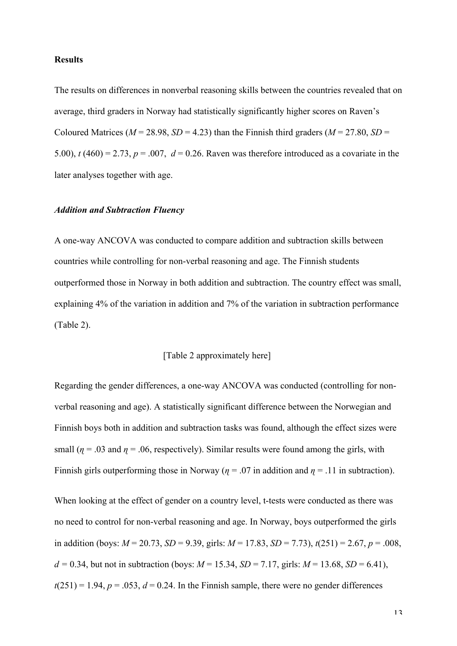# **Results**

The results on differences in nonverbal reasoning skills between the countries revealed that on average, third graders in Norway had statistically significantly higher scores on Raven's Coloured Matrices ( $M = 28.98$ ,  $SD = 4.23$ ) than the Finnish third graders ( $M = 27.80$ ,  $SD =$ 5.00),  $t(460) = 2.73$ ,  $p = .007$ ,  $d = 0.26$ . Raven was therefore introduced as a covariate in the later analyses together with age.

# *Addition and Subtraction Fluency*

A one-way ANCOVA was conducted to compare addition and subtraction skills between countries while controlling for non-verbal reasoning and age. The Finnish students outperformed those in Norway in both addition and subtraction. The country effect was small, explaining 4% of the variation in addition and 7% of the variation in subtraction performance (Table 2).

#### [Table 2 approximately here]

Regarding the gender differences, a one-way ANCOVA was conducted (controlling for nonverbal reasoning and age). A statistically significant difference between the Norwegian and Finnish boys both in addition and subtraction tasks was found, although the effect sizes were small ( $\eta$  = .03 and  $\eta$  = .06, respectively). Similar results were found among the girls, with Finnish girls outperforming those in Norway ( $\eta = .07$  in addition and  $\eta = .11$  in subtraction).

When looking at the effect of gender on a country level, t-tests were conducted as there was no need to control for non-verbal reasoning and age. In Norway, boys outperformed the girls in addition (boys:  $M = 20.73$ ,  $SD = 9.39$ , girls:  $M = 17.83$ ,  $SD = 7.73$ ),  $t(251) = 2.67$ ,  $p = .008$ ,  $d = 0.34$ , but not in subtraction (boys:  $M = 15.34$ ,  $SD = 7.17$ , girls:  $M = 13.68$ ,  $SD = 6.41$ ),  $t(251) = 1.94$ ,  $p = .053$ ,  $d = 0.24$ . In the Finnish sample, there were no gender differences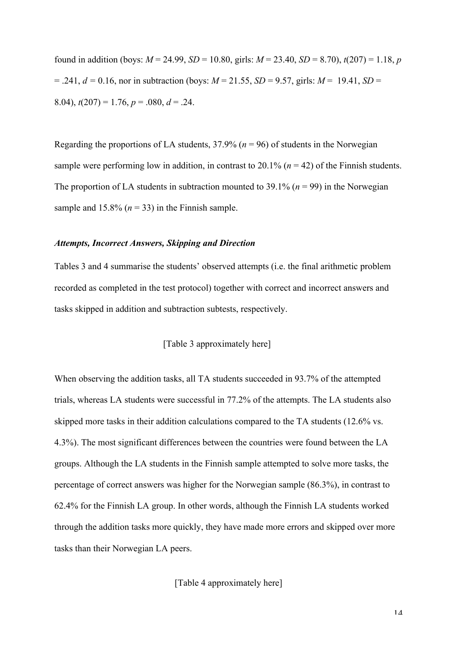found in addition (boys:  $M = 24.99$ ,  $SD = 10.80$ , girls:  $M = 23.40$ ,  $SD = 8.70$ ),  $t(207) = 1.18$ , *p*  $= .241, d = 0.16$ , nor in subtraction (boys:  $M = 21.55$ ,  $SD = 9.57$ , girls:  $M = 19.41$ ,  $SD = 19.41$ 8.04),  $t(207) = 1.76$ ,  $p = .080$ ,  $d = .24$ .

Regarding the proportions of LA students,  $37.9\%$  ( $n = 96$ ) of students in the Norwegian sample were performing low in addition, in contrast to  $20.1\%$  ( $n = 42$ ) of the Finnish students. The proportion of LA students in subtraction mounted to 39.1% ( $n = 99$ ) in the Norwegian sample and  $15.8\%$  ( $n = 33$ ) in the Finnish sample.

#### *Attempts, Incorrect Answers, Skipping and Direction*

Tables 3 and 4 summarise the students' observed attempts (i.e. the final arithmetic problem recorded as completed in the test protocol) together with correct and incorrect answers and tasks skipped in addition and subtraction subtests, respectively.

#### [Table 3 approximately here]

When observing the addition tasks, all TA students succeeded in 93.7% of the attempted trials, whereas LA students were successful in 77.2% of the attempts. The LA students also skipped more tasks in their addition calculations compared to the TA students (12.6% vs. 4.3%). The most significant differences between the countries were found between the LA groups. Although the LA students in the Finnish sample attempted to solve more tasks, the percentage of correct answers was higher for the Norwegian sample (86.3%), in contrast to 62.4% for the Finnish LA group. In other words, although the Finnish LA students worked through the addition tasks more quickly, they have made more errors and skipped over more tasks than their Norwegian LA peers.

## [Table 4 approximately here]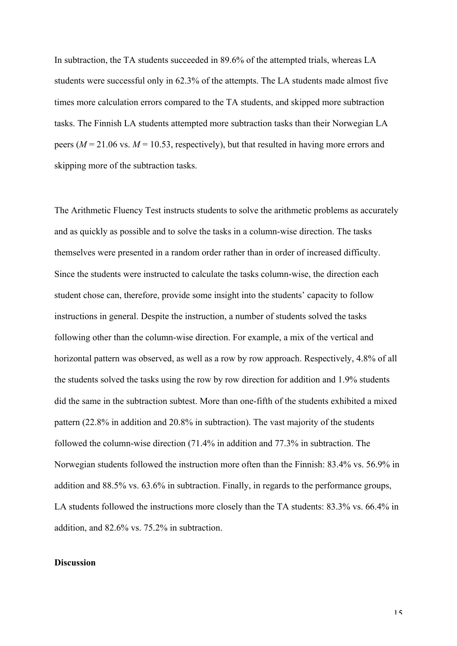In subtraction, the TA students succeeded in 89.6% of the attempted trials, whereas LA students were successful only in 62.3% of the attempts. The LA students made almost five times more calculation errors compared to the TA students, and skipped more subtraction tasks. The Finnish LA students attempted more subtraction tasks than their Norwegian LA peers ( $M = 21.06$  vs.  $M = 10.53$ , respectively), but that resulted in having more errors and skipping more of the subtraction tasks.

The Arithmetic Fluency Test instructs students to solve the arithmetic problems as accurately and as quickly as possible and to solve the tasks in a column-wise direction. The tasks themselves were presented in a random order rather than in order of increased difficulty. Since the students were instructed to calculate the tasks column-wise, the direction each student chose can, therefore, provide some insight into the students' capacity to follow instructions in general. Despite the instruction, a number of students solved the tasks following other than the column-wise direction. For example, a mix of the vertical and horizontal pattern was observed, as well as a row by row approach. Respectively, 4.8% of all the students solved the tasks using the row by row direction for addition and 1.9% students did the same in the subtraction subtest. More than one-fifth of the students exhibited a mixed pattern (22.8% in addition and 20.8% in subtraction). The vast majority of the students followed the column-wise direction (71.4% in addition and 77.3% in subtraction. The Norwegian students followed the instruction more often than the Finnish: 83.4% vs. 56.9% in addition and 88.5% vs. 63.6% in subtraction. Finally, in regards to the performance groups, LA students followed the instructions more closely than the TA students: 83.3% vs. 66.4% in addition, and 82.6% vs. 75.2% in subtraction.

# **Discussion**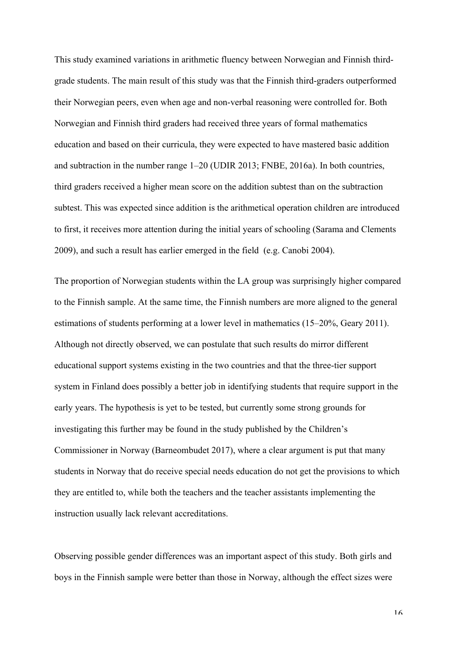This study examined variations in arithmetic fluency between Norwegian and Finnish thirdgrade students. The main result of this study was that the Finnish third-graders outperformed their Norwegian peers, even when age and non-verbal reasoning were controlled for. Both Norwegian and Finnish third graders had received three years of formal mathematics education and based on their curricula, they were expected to have mastered basic addition and subtraction in the number range 1–20 (UDIR 2013; FNBE, 2016a). In both countries, third graders received a higher mean score on the addition subtest than on the subtraction subtest. This was expected since addition is the arithmetical operation children are introduced to first, it receives more attention during the initial years of schooling (Sarama and Clements 2009), and such a result has earlier emerged in the field (e.g. Canobi 2004).

The proportion of Norwegian students within the LA group was surprisingly higher compared to the Finnish sample. At the same time, the Finnish numbers are more aligned to the general estimations of students performing at a lower level in mathematics (15–20%, Geary 2011). Although not directly observed, we can postulate that such results do mirror different educational support systems existing in the two countries and that the three-tier support system in Finland does possibly a better job in identifying students that require support in the early years. The hypothesis is yet to be tested, but currently some strong grounds for investigating this further may be found in the study published by the Children's Commissioner in Norway (Barneombudet 2017), where a clear argument is put that many students in Norway that do receive special needs education do not get the provisions to which they are entitled to, while both the teachers and the teacher assistants implementing the instruction usually lack relevant accreditations.

Observing possible gender differences was an important aspect of this study. Both girls and boys in the Finnish sample were better than those in Norway, although the effect sizes were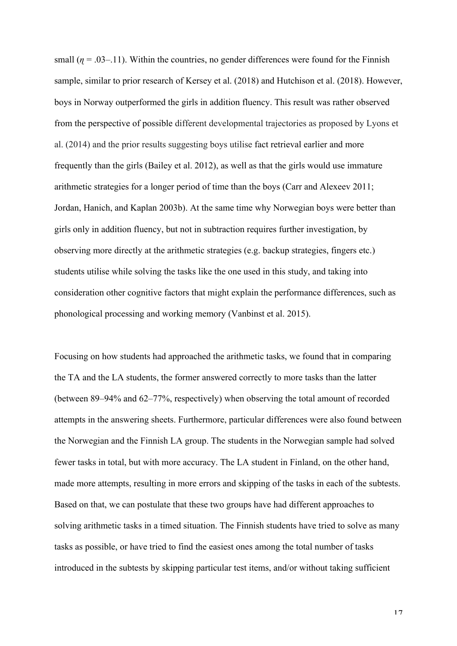small  $(\eta = .03-11)$ . Within the countries, no gender differences were found for the Finnish sample, similar to prior research of Kersey et al. (2018) and Hutchison et al. (2018). However, boys in Norway outperformed the girls in addition fluency. This result was rather observed from the perspective of possible different developmental trajectories as proposed by Lyons et al. (2014) and the prior results suggesting boys utilise fact retrieval earlier and more frequently than the girls (Bailey et al. 2012), as well as that the girls would use immature arithmetic strategies for a longer period of time than the boys (Carr and Alexeev 2011; Jordan, Hanich, and Kaplan 2003b). At the same time why Norwegian boys were better than girls only in addition fluency, but not in subtraction requires further investigation, by observing more directly at the arithmetic strategies (e.g. backup strategies, fingers etc.) students utilise while solving the tasks like the one used in this study, and taking into consideration other cognitive factors that might explain the performance differences, such as phonological processing and working memory (Vanbinst et al. 2015).

Focusing on how students had approached the arithmetic tasks, we found that in comparing the TA and the LA students, the former answered correctly to more tasks than the latter (between 89–94% and 62–77%, respectively) when observing the total amount of recorded attempts in the answering sheets. Furthermore, particular differences were also found between the Norwegian and the Finnish LA group. The students in the Norwegian sample had solved fewer tasks in total, but with more accuracy. The LA student in Finland, on the other hand, made more attempts, resulting in more errors and skipping of the tasks in each of the subtests. Based on that, we can postulate that these two groups have had different approaches to solving arithmetic tasks in a timed situation. The Finnish students have tried to solve as many tasks as possible, or have tried to find the easiest ones among the total number of tasks introduced in the subtests by skipping particular test items, and/or without taking sufficient

17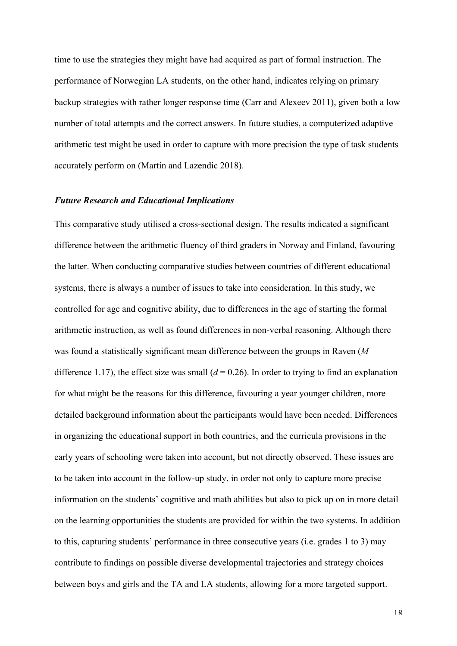time to use the strategies they might have had acquired as part of formal instruction. The performance of Norwegian LA students, on the other hand, indicates relying on primary backup strategies with rather longer response time (Carr and Alexeev 2011), given both a low number of total attempts and the correct answers. In future studies, a computerized adaptive arithmetic test might be used in order to capture with more precision the type of task students accurately perform on (Martin and Lazendic 2018).

#### *Future Research and Educational Implications*

This comparative study utilised a cross-sectional design. The results indicated a significant difference between the arithmetic fluency of third graders in Norway and Finland, favouring the latter. When conducting comparative studies between countries of different educational systems, there is always a number of issues to take into consideration. In this study, we controlled for age and cognitive ability, due to differences in the age of starting the formal arithmetic instruction, as well as found differences in non-verbal reasoning. Although there was found a statistically significant mean difference between the groups in Raven (*M* difference 1.17), the effect size was small  $(d = 0.26)$ . In order to trying to find an explanation for what might be the reasons for this difference, favouring a year younger children, more detailed background information about the participants would have been needed. Differences in organizing the educational support in both countries, and the curricula provisions in the early years of schooling were taken into account, but not directly observed. These issues are to be taken into account in the follow-up study, in order not only to capture more precise information on the students' cognitive and math abilities but also to pick up on in more detail on the learning opportunities the students are provided for within the two systems. In addition to this, capturing students' performance in three consecutive years (i.e. grades 1 to 3) may contribute to findings on possible diverse developmental trajectories and strategy choices between boys and girls and the TA and LA students, allowing for a more targeted support.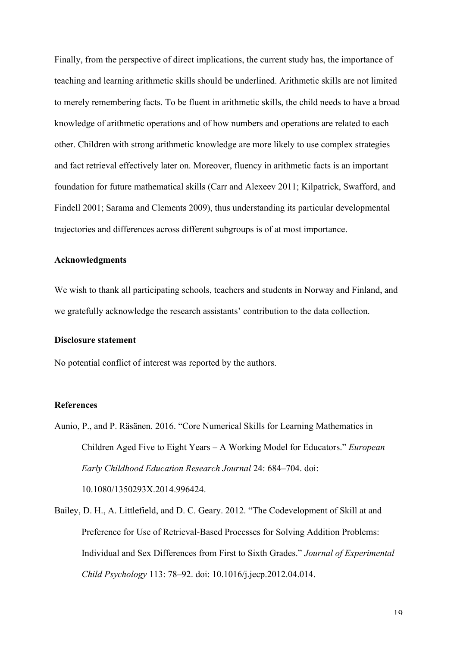Finally, from the perspective of direct implications, the current study has, the importance of teaching and learning arithmetic skills should be underlined. Arithmetic skills are not limited to merely remembering facts. To be fluent in arithmetic skills, the child needs to have a broad knowledge of arithmetic operations and of how numbers and operations are related to each other. Children with strong arithmetic knowledge are more likely to use complex strategies and fact retrieval effectively later on. Moreover, fluency in arithmetic facts is an important foundation for future mathematical skills (Carr and Alexeev 2011; Kilpatrick, Swafford, and Findell 2001; Sarama and Clements 2009), thus understanding its particular developmental trajectories and differences across different subgroups is of at most importance.

#### **Acknowledgments**

We wish to thank all participating schools, teachers and students in Norway and Finland, and we gratefully acknowledge the research assistants' contribution to the data collection.

# **Disclosure statement**

No potential conflict of interest was reported by the authors.

#### **References**

- Aunio, P., and P. Räsänen. 2016. "Core Numerical Skills for Learning Mathematics in Children Aged Five to Eight Years – A Working Model for Educators." *European Early Childhood Education Research Journal* 24: 684–704. doi: 10.1080/1350293X.2014.996424.
- Bailey, D. H., A. Littlefield, and D. C. Geary. 2012. "The Codevelopment of Skill at and Preference for Use of Retrieval-Based Processes for Solving Addition Problems: Individual and Sex Differences from First to Sixth Grades." *Journal of Experimental Child Psychology* 113: 78–92. doi: 10.1016/j.jecp.2012.04.014.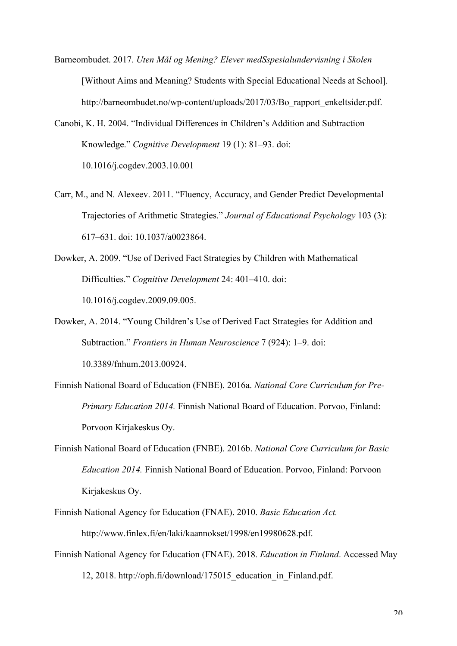- Barneombudet. 2017. *Uten Mål og Mening? Elever medSspesialundervisning i Skolen* [Without Aims and Meaning? Students with Special Educational Needs at School]. http://barneombudet.no/wp-content/uploads/2017/03/Bo\_rapport\_enkeltsider.pdf.
- Canobi, K. H. 2004. "Individual Differences in Children's Addition and Subtraction Knowledge." *Cognitive Development* 19 (1): 81–93. doi: 10.1016/j.cogdev.2003.10.001
- Carr, M., and N. Alexeev. 2011. "Fluency, Accuracy, and Gender Predict Developmental Trajectories of Arithmetic Strategies." *Journal of Educational Psychology* 103 (3): 617–631. doi: 10.1037/a0023864.
- Dowker, A. 2009. "Use of Derived Fact Strategies by Children with Mathematical Difficulties." *Cognitive Development* 24: 401–410. doi: 10.1016/j.cogdev.2009.09.005.
- Dowker, A. 2014. "Young Children's Use of Derived Fact Strategies for Addition and Subtraction." *Frontiers in Human Neuroscience* 7 (924): 1–9. doi: 10.3389/fnhum.2013.00924.
- Finnish National Board of Education (FNBE). 2016a. *National Core Curriculum for Pre-Primary Education 2014.* Finnish National Board of Education. Porvoo, Finland: Porvoon Kirjakeskus Oy.
- Finnish National Board of Education (FNBE). 2016b. *National Core Curriculum for Basic Education 2014.* Finnish National Board of Education. Porvoo, Finland: Porvoon Kirjakeskus Oy.
- Finnish National Agency for Education (FNAE). 2010. *Basic Education Act.*  http://www.finlex.fi/en/laki/kaannokset/1998/en19980628.pdf.
- Finnish National Agency for Education (FNAE). 2018. *Education in Finland*. Accessed May 12, 2018. http://oph.fi/download/175015\_education\_in\_Finland.pdf.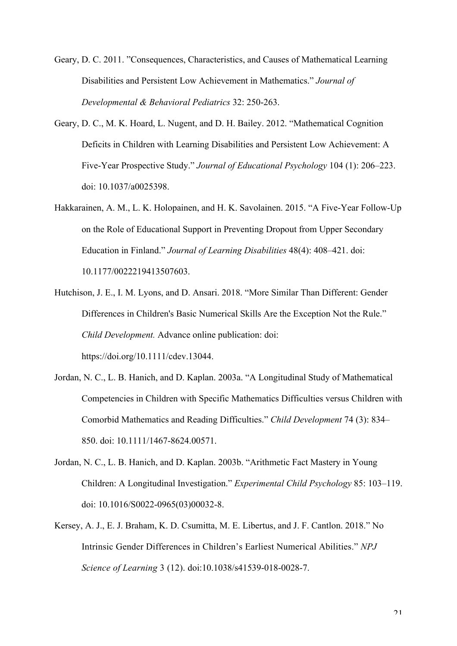Geary, D. C. 2011. "Consequences, Characteristics, and Causes of Mathematical Learning Disabilities and Persistent Low Achievement in Mathematics." *Journal of Developmental & Behavioral Pediatrics* 32: 250-263.

- Geary, D. C., M. K. Hoard, L. Nugent, and D. H. Bailey. 2012. "Mathematical Cognition Deficits in Children with Learning Disabilities and Persistent Low Achievement: A Five-Year Prospective Study." *Journal of Educational Psychology* 104 (1): 206–223. doi: 10.1037/a0025398.
- Hakkarainen, A. M., L. K. Holopainen, and H. K. Savolainen. 2015. "A Five-Year Follow-Up on the Role of Educational Support in Preventing Dropout from Upper Secondary Education in Finland." *Journal of Learning Disabilities* 48(4): 408–421. doi: 10.1177/0022219413507603.
- Hutchison, J. E., I. M. Lyons, and D. Ansari. 2018. "More Similar Than Different: Gender Differences in Children's Basic Numerical Skills Are the Exception Not the Rule." *Child Development.* Advance online publication: doi: https://doi.org/10.1111/cdev.13044.
- Jordan, N. C., L. B. Hanich, and D. Kaplan. 2003a. "A Longitudinal Study of Mathematical Competencies in Children with Specific Mathematics Difficulties versus Children with Comorbid Mathematics and Reading Difficulties." *Child Development* 74 (3): 834– 850. doi: 10.1111/1467-8624.00571.
- Jordan, N. C., L. B. Hanich, and D. Kaplan. 2003b. "Arithmetic Fact Mastery in Young Children: A Longitudinal Investigation." *Experimental Child Psychology* 85: 103–119. doi: 10.1016/S0022-0965(03)00032-8.
- Kersey, A. J., E. J. Braham, K. D. Csumitta, M. E. Libertus, and J. F. Cantlon. 2018." No Intrinsic Gender Differences in Children's Earliest Numerical Abilities." *NPJ Science of Learning* 3 (12). doi:10.1038/s41539-018-0028-7.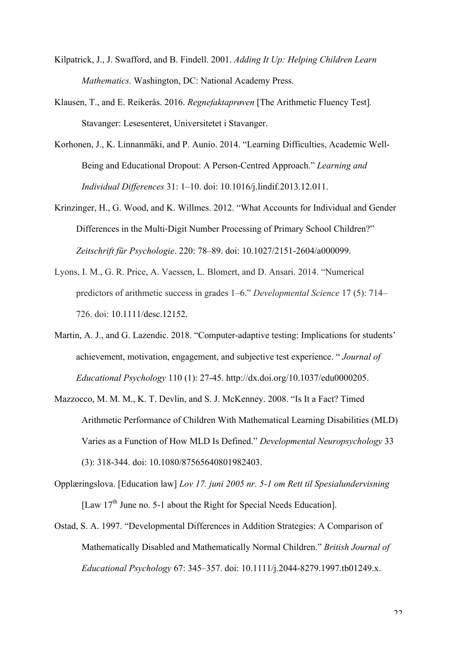- Kilpatrick, J., J. Swafford, and B. Findell. 2001. *Adding It Up: Helping Children Learn Mathematics.* Washington, DC: National Academy Press.
- Klausen, T., and E. Reikerås. 2016. *Regnefaktaprøven* [The Arithmetic Fluency Test]*.*  Stavanger: Lesesenteret, Universitetet i Stavanger.
- Korhonen, J., K. Linnanmäki, and P. Aunio. 2014. "Learning Difficulties, Academic Well-Being and Educational Dropout: A Person-Centred Approach." *Learning and Individual Differences* 31: 1–10. doi: 10.1016/j.lindif.2013.12.011.
- Krinzinger, H., G. Wood, and K. Willmes. 2012. "What Accounts for Individual and Gender Differences in the Multi‐Digit Number Processing of Primary School Children?" *Zeitschrift für Psychologie*. 220: 78–89. doi: 10.1027/2151-2604/a000099.
- Lyons, I. M., G. R. Price, A. Vaessen, L. Blomert, and D. Ansari. 2014. "Numerical predictors of arithmetic success in grades 1–6." *Developmental Science* 17 (5): 714– 726. doi: 10.1111/desc.12152.
- Martin, A. J., and G. Lazendic. 2018. "Computer-adaptive testing: Implications for students' achievement, motivation, engagement, and subjective test experience. " *Journal of Educational Psychology* 110 (1): 27-45. http://dx.doi.org/10.1037/edu0000205.
- Mazzocco, M. M. M., K. T. Devlin, and S. J. McKenney. 2008. "Is It a Fact? Timed Arithmetic Performance of Children With Mathematical Learning Disabilities (MLD) Varies as a Function of How MLD Is Defined." *Developmental Neuropsychology* 33 (3): 318-344. doi: 10.1080/87565640801982403.
- Opplæringslova. [Education law] *Lov 17. juni 2005 nr. 5-1 om Rett til Spesialundervisning* [Law 17<sup>th</sup> June no. 5-1 about the Right for Special Needs Education].
- Ostad, S. A. 1997. "Developmental Differences in Addition Strategies: A Comparison of Mathematically Disabled and Mathematically Normal Children." *British Journal of Educational Psychology* 67: 345–357. doi: 10.1111/j.2044-8279.1997.tb01249.x.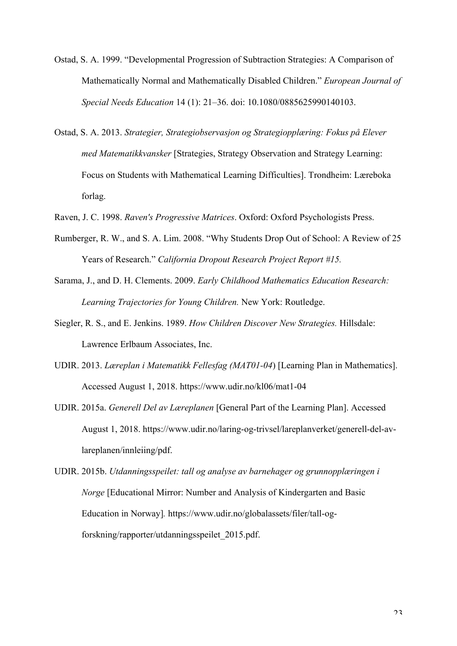- Ostad, S. A. 1999. "Developmental Progression of Subtraction Strategies: A Comparison of Mathematically Normal and Mathematically Disabled Children." *European Journal of Special Needs Education* 14 (1): 21–36. doi: 10.1080/0885625990140103.
- Ostad, S. A. 2013. *Strategier, Strategiobservasjon og Strategiopplæring: Fokus på Elever med Matematikkvansker* [Strategies, Strategy Observation and Strategy Learning: Focus on Students with Mathematical Learning Difficulties]. Trondheim: Læreboka forlag.
- Raven, J. C. 1998. *Raven's Progressive Matrices*. Oxford: Oxford Psychologists Press.
- Rumberger, R. W., and S. A. Lim. 2008. "Why Students Drop Out of School: A Review of 25 Years of Research." *California Dropout Research Project Report #15.*
- Sarama, J., and D. H. Clements. 2009. *Early Childhood Mathematics Education Research: Learning Trajectories for Young Children.* New York: Routledge.
- Siegler, R. S., and E. Jenkins. 1989. *How Children Discover New Strategies.* Hillsdale: Lawrence Erlbaum Associates, Inc.
- UDIR. 2013. *Læreplan i Matematikk Fellesfag (MAT01-04*) [Learning Plan in Mathematics]. Accessed August 1, 2018. https://www.udir.no/kl06/mat1-04
- UDIR. 2015a. *Generell Del av Læreplanen* [General Part of the Learning Plan]. Accessed August 1, 2018. https://www.udir.no/laring-og-trivsel/lareplanverket/generell-del-avlareplanen/innleiing/pdf.
- UDIR. 2015b. *Utdanningsspeilet: tall og analyse av barnehager og grunnopplæringen i Norge* [Educational Mirror: Number and Analysis of Kindergarten and Basic Education in Norway]*.* https://www.udir.no/globalassets/filer/tall-ogforskning/rapporter/utdanningsspeilet\_2015.pdf.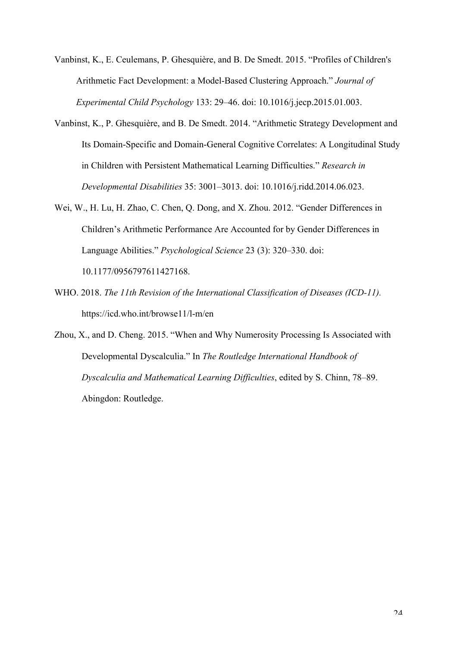Vanbinst, K., E. Ceulemans, P. Ghesquière, and B. De Smedt. 2015. "Profiles of Children's Arithmetic Fact Development: a Model-Based Clustering Approach." *Journal of Experimental Child Psychology* 133: 29–46. doi: 10.1016/j.jecp.2015.01.003.

- Vanbinst, K., P. Ghesquière, and B. De Smedt. 2014. "Arithmetic Strategy Development and Its Domain-Specific and Domain-General Cognitive Correlates: A Longitudinal Study in Children with Persistent Mathematical Learning Difficulties." *Research in Developmental Disabilities* 35: 3001–3013. doi: 10.1016/j.ridd.2014.06.023.
- Wei, W., H. Lu, H. Zhao, C. Chen, Q. Dong, and X. Zhou. 2012. "Gender Differences in Children's Arithmetic Performance Are Accounted for by Gender Differences in Language Abilities." *Psychological Science* 23 (3): 320–330. doi: 10.1177/0956797611427168.
- WHO. 2018. *The 11th Revision of the International Classification of Diseases (ICD-11).* https://icd.who.int/browse11/l-m/en
- Zhou, X., and D. Cheng. 2015. "When and Why Numerosity Processing Is Associated with Developmental Dyscalculia." In *The Routledge International Handbook of Dyscalculia and Mathematical Learning Difficulties*, edited by S. Chinn, 78–89. Abingdon: Routledge.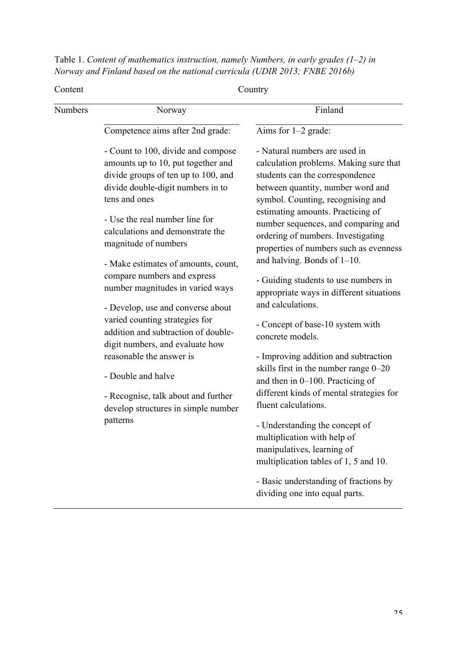| Table 1. Content of mathematics instruction, namely Numbers, in early grades $(1-2)$ in |  |
|-----------------------------------------------------------------------------------------|--|
| Norway and Finland based on the national curricula (UDIR 2013; FNBE 2016b)              |  |

| Content | Country                                                                                                                                                                                                                                                             |                                                                                                                                                                                                                                                                                                                                                  |  |  |  |  |  |
|---------|---------------------------------------------------------------------------------------------------------------------------------------------------------------------------------------------------------------------------------------------------------------------|--------------------------------------------------------------------------------------------------------------------------------------------------------------------------------------------------------------------------------------------------------------------------------------------------------------------------------------------------|--|--|--|--|--|
| Numbers | Norway                                                                                                                                                                                                                                                              | Finland                                                                                                                                                                                                                                                                                                                                          |  |  |  |  |  |
|         | Competence aims after 2nd grade:                                                                                                                                                                                                                                    | Aims for $1-2$ grade:                                                                                                                                                                                                                                                                                                                            |  |  |  |  |  |
|         | - Count to 100, divide and compose<br>amounts up to 10, put together and<br>divide groups of ten up to 100, and<br>divide double-digit numbers in to<br>tens and ones<br>- Use the real number line for<br>calculations and demonstrate the<br>magnitude of numbers | - Natural numbers are used in<br>calculation problems. Making sure that<br>students can the correspondence<br>between quantity, number word and<br>symbol. Counting, recognising and<br>estimating amounts. Practicing of<br>number sequences, and comparing and<br>ordering of numbers. Investigating<br>properties of numbers such as evenness |  |  |  |  |  |
|         | - Make estimates of amounts, count,                                                                                                                                                                                                                                 | and halving. Bonds of $1-10$ .                                                                                                                                                                                                                                                                                                                   |  |  |  |  |  |
|         | compare numbers and express<br>number magnitudes in varied ways                                                                                                                                                                                                     | - Guiding students to use numbers in<br>appropriate ways in different situations                                                                                                                                                                                                                                                                 |  |  |  |  |  |
|         | - Develop, use and converse about<br>varied counting strategies for<br>addition and subtraction of double-<br>digit numbers, and evaluate how                                                                                                                       | and calculations.<br>- Concept of base-10 system with<br>concrete models.                                                                                                                                                                                                                                                                        |  |  |  |  |  |
|         | reasonable the answer is<br>- Double and halve<br>- Recognise, talk about and further<br>develop structures in simple number                                                                                                                                        | - Improving addition and subtraction<br>skills first in the number range 0-20<br>and then in 0-100. Practicing of<br>different kinds of mental strategies for<br>fluent calculations.                                                                                                                                                            |  |  |  |  |  |
|         | patterns                                                                                                                                                                                                                                                            | - Understanding the concept of<br>multiplication with help of<br>manipulatives, learning of<br>multiplication tables of 1, 5 and 10.                                                                                                                                                                                                             |  |  |  |  |  |
|         |                                                                                                                                                                                                                                                                     | - Basic understanding of fractions by<br>dividing one into equal parts.                                                                                                                                                                                                                                                                          |  |  |  |  |  |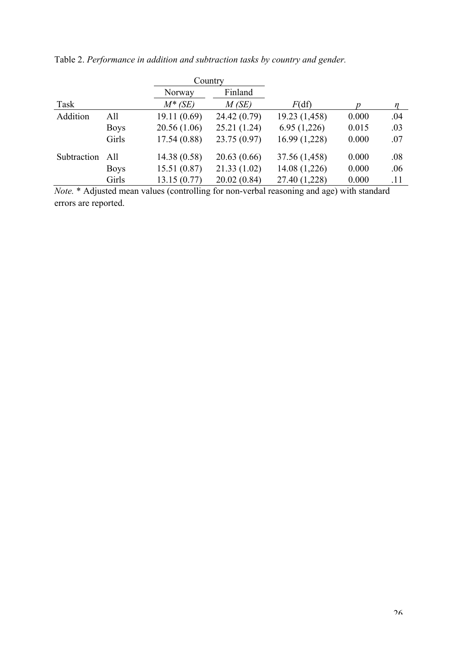|             |             |             | Country      |               |                  |        |
|-------------|-------------|-------------|--------------|---------------|------------------|--------|
|             |             | Norway      | Finland      |               |                  |        |
| Task        |             | $M^*$ (SE)  | M(SE)        | F(df)         | $\boldsymbol{p}$ | $\eta$ |
| Addition    | All         | 19.11(0.69) | 24.42 (0.79) | 19.23(1,458)  | 0.000            | .04    |
|             | <b>Boys</b> | 20.56(1.06) | 25.21(1.24)  | 6.95(1,226)   | 0.015            | .03    |
|             | Girls       | 17.54(0.88) | 23.75 (0.97) | 16.99 (1,228) | 0.000            | .07    |
| Subtraction | All         | 14.38(0.58) | 20.63(0.66)  | 37.56 (1,458) | 0.000            | .08    |
|             | <b>Boys</b> | 15.51(0.87) | 21.33(1.02)  | 14.08 (1,226) | 0.000            | .06    |
|             | Girls       | 13.15(0.77) | 20.02(0.84)  | 27.40 (1,228) | 0.000            | .11    |

Table 2. *Performance in addition and subtraction tasks by country and gender.*

*Note.* \* Adjusted mean values (controlling for non-verbal reasoning and age) with standard errors are reported.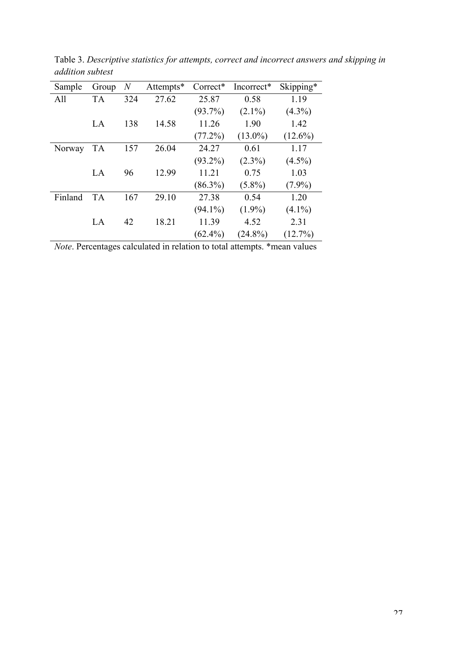| Sample  | Group     | $\overline{N}$ | Attempts* | Correct*   | Incorrect* | Skipping*  |
|---------|-----------|----------------|-----------|------------|------------|------------|
| All     | <b>TA</b> | 324            | 27.62     | 25.87      | 0.58       | 1.19       |
|         |           |                |           | $(93.7\%)$ | $(2.1\%)$  | $(4.3\%)$  |
|         | LA        | 138            | 14.58     | 11.26      | 1.90       | 1.42       |
|         |           |                |           | $(77.2\%)$ | $(13.0\%)$ | $(12.6\%)$ |
| Norway  | <b>TA</b> | 157            | 26.04     | 24.27      | 0.61       | 1.17       |
|         |           |                |           | $(93.2\%)$ | $(2.3\%)$  | $(4.5\%)$  |
|         | LA        | 96             | 12.99     | 11.21      | 0.75       | 1.03       |
|         |           |                |           | $(86.3\%)$ | $(5.8\%)$  | $(7.9\%)$  |
| Finland | <b>TA</b> | 167            | 29.10     | 27.38      | 0.54       | 1.20       |
|         |           |                |           | $(94.1\%)$ | $(1.9\%)$  | $(4.1\%)$  |
|         | LA        | 42             | 18.21     | 11.39      | 4.52       | 2.31       |
|         |           |                |           | $(62.4\%)$ | $(24.8\%)$ | $(12.7\%)$ |

Table 3. *Descriptive statistics for attempts, correct and incorrect answers and skipping in addition subtest*

*Note*. Percentages calculated in relation to total attempts. \*mean values